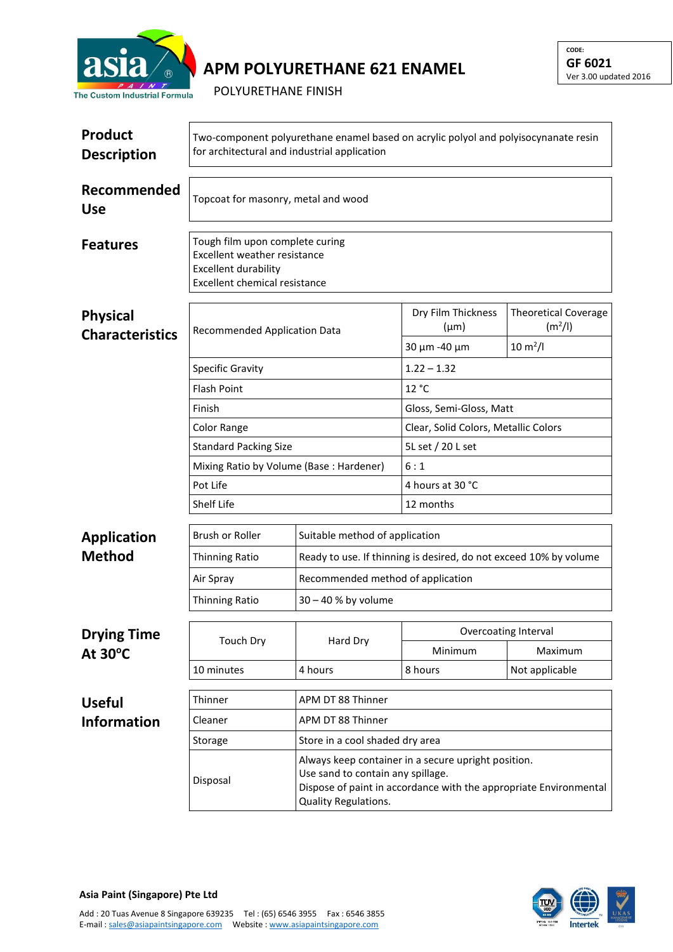

## **APM POLYURETHANE 621 ENAMEL**

POLYURETHANE FINISH

| <b>Product</b><br><b>Description</b>      | Two-component polyurethane enamel based on acrylic polyol and polyisocynanate resin<br>for architectural and industrial application |                                                                                                                                                                                       |                                                 |                                                                             |  |  |
|-------------------------------------------|-------------------------------------------------------------------------------------------------------------------------------------|---------------------------------------------------------------------------------------------------------------------------------------------------------------------------------------|-------------------------------------------------|-----------------------------------------------------------------------------|--|--|
| Recommended<br><b>Use</b>                 | Topcoat for masonry, metal and wood                                                                                                 |                                                                                                                                                                                       |                                                 |                                                                             |  |  |
| <b>Features</b>                           | Tough film upon complete curing<br>Excellent weather resistance<br><b>Excellent durability</b><br>Excellent chemical resistance     |                                                                                                                                                                                       |                                                 |                                                                             |  |  |
| <b>Physical</b><br><b>Characteristics</b> | Recommended Application Data                                                                                                        |                                                                                                                                                                                       | Dry Film Thickness<br>$(\mu m)$<br>30 µm -40 µm | <b>Theoretical Coverage</b><br>(m <sup>2</sup> /I)<br>$10 \, \text{m}^2$ /l |  |  |
|                                           | <b>Specific Gravity</b>                                                                                                             |                                                                                                                                                                                       | $1.22 - 1.32$                                   |                                                                             |  |  |
|                                           | <b>Flash Point</b>                                                                                                                  |                                                                                                                                                                                       | 12 °C                                           |                                                                             |  |  |
|                                           | Finish                                                                                                                              |                                                                                                                                                                                       | Gloss, Semi-Gloss, Matt                         |                                                                             |  |  |
|                                           | <b>Color Range</b>                                                                                                                  |                                                                                                                                                                                       | Clear, Solid Colors, Metallic Colors            |                                                                             |  |  |
|                                           | <b>Standard Packing Size</b>                                                                                                        |                                                                                                                                                                                       | 5L set / 20 L set                               |                                                                             |  |  |
|                                           | Mixing Ratio by Volume (Base: Hardener)                                                                                             |                                                                                                                                                                                       | 6:1                                             |                                                                             |  |  |
|                                           | Pot Life                                                                                                                            |                                                                                                                                                                                       | 4 hours at 30 °C                                |                                                                             |  |  |
|                                           | Shelf Life                                                                                                                          |                                                                                                                                                                                       | 12 months                                       |                                                                             |  |  |
| <b>Application</b>                        | Brush or Roller                                                                                                                     | Suitable method of application                                                                                                                                                        |                                                 |                                                                             |  |  |
| <b>Method</b>                             | <b>Thinning Ratio</b>                                                                                                               | Ready to use. If thinning is desired, do not exceed 10% by volume                                                                                                                     |                                                 |                                                                             |  |  |
|                                           | Air Spray                                                                                                                           |                                                                                                                                                                                       | Recommended method of application               |                                                                             |  |  |
|                                           | <b>Thinning Ratio</b>                                                                                                               | $30 - 40$ % by volume                                                                                                                                                                 |                                                 |                                                                             |  |  |
| <b>Drying Time</b>                        |                                                                                                                                     | Hard Dry                                                                                                                                                                              | Overcoating Interval                            |                                                                             |  |  |
| At $30^{\circ}$ C                         | <b>Touch Dry</b>                                                                                                                    |                                                                                                                                                                                       | Minimum                                         | Maximum                                                                     |  |  |
|                                           | 10 minutes                                                                                                                          | 4 hours                                                                                                                                                                               | 8 hours                                         | Not applicable                                                              |  |  |
| <b>Useful</b>                             | Thinner                                                                                                                             | APM DT 88 Thinner                                                                                                                                                                     |                                                 |                                                                             |  |  |
| <b>Information</b>                        | Cleaner                                                                                                                             | APM DT 88 Thinner                                                                                                                                                                     |                                                 |                                                                             |  |  |
|                                           | Store in a cool shaded dry area<br>Storage                                                                                          |                                                                                                                                                                                       |                                                 |                                                                             |  |  |
|                                           | Disposal                                                                                                                            | Always keep container in a secure upright position.<br>Use sand to contain any spillage.<br>Dispose of paint in accordance with the appropriate Environmental<br>Quality Regulations. |                                                 |                                                                             |  |  |